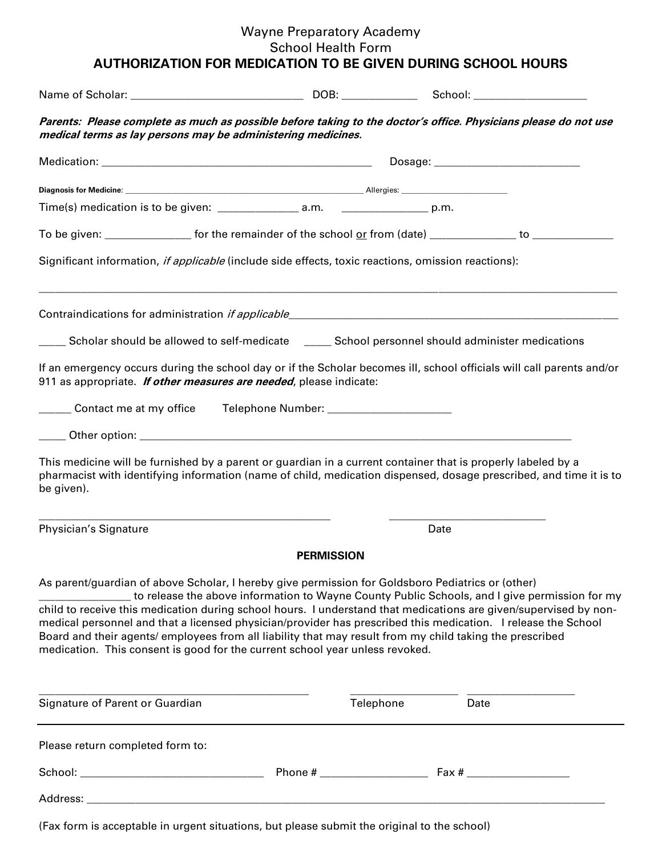## Wayne Preparatory Academy School Health Form **AUTHORIZATION FOR MEDICATION TO BE GIVEN DURING SCHOOL HOURS**

| Parents: Please complete as much as possible before taking to the doctor's office. Physicians please do not use<br>medical terms as lay persons may be administering medicines.                                                                                                                                                                                                                                                                                                                                                                                                                                                    |                   |           |      |  |  |
|------------------------------------------------------------------------------------------------------------------------------------------------------------------------------------------------------------------------------------------------------------------------------------------------------------------------------------------------------------------------------------------------------------------------------------------------------------------------------------------------------------------------------------------------------------------------------------------------------------------------------------|-------------------|-----------|------|--|--|
|                                                                                                                                                                                                                                                                                                                                                                                                                                                                                                                                                                                                                                    |                   |           |      |  |  |
|                                                                                                                                                                                                                                                                                                                                                                                                                                                                                                                                                                                                                                    |                   |           |      |  |  |
|                                                                                                                                                                                                                                                                                                                                                                                                                                                                                                                                                                                                                                    |                   |           |      |  |  |
| To be given: ___________________ for the remainder of the school or from (date) ______________ to ____________                                                                                                                                                                                                                                                                                                                                                                                                                                                                                                                     |                   |           |      |  |  |
| Significant information, if applicable (include side effects, toxic reactions, omission reactions):                                                                                                                                                                                                                                                                                                                                                                                                                                                                                                                                |                   |           |      |  |  |
|                                                                                                                                                                                                                                                                                                                                                                                                                                                                                                                                                                                                                                    |                   |           |      |  |  |
| _____ Scholar should be allowed to self-medicate _____ School personnel should administer medications                                                                                                                                                                                                                                                                                                                                                                                                                                                                                                                              |                   |           |      |  |  |
| If an emergency occurs during the school day or if the Scholar becomes ill, school officials will call parents and/or<br>911 as appropriate. <i>If other measures are needed</i> , please indicate:                                                                                                                                                                                                                                                                                                                                                                                                                                |                   |           |      |  |  |
| ______ Contact me at my office   Telephone Number: ______________________                                                                                                                                                                                                                                                                                                                                                                                                                                                                                                                                                          |                   |           |      |  |  |
|                                                                                                                                                                                                                                                                                                                                                                                                                                                                                                                                                                                                                                    |                   |           |      |  |  |
| This medicine will be furnished by a parent or guardian in a current container that is properly labeled by a<br>pharmacist with identifying information (name of child, medication dispensed, dosage prescribed, and time it is to<br>be given).                                                                                                                                                                                                                                                                                                                                                                                   |                   |           |      |  |  |
| Physician's Signature                                                                                                                                                                                                                                                                                                                                                                                                                                                                                                                                                                                                              |                   | Date      |      |  |  |
|                                                                                                                                                                                                                                                                                                                                                                                                                                                                                                                                                                                                                                    | <b>PERMISSION</b> |           |      |  |  |
| As parent/guardian of above Scholar, I hereby give permission for Goldsboro Pediatrics or (other)<br>to release the above information to Wayne County Public Schools, and I give permission for my<br>child to receive this medication during school hours. I understand that medications are given/supervised by non-<br>medical personnel and that a licensed physician/provider has prescribed this medication. I release the School<br>Board and their agents/employees from all liability that may result from my child taking the prescribed<br>medication. This consent is good for the current school year unless revoked. |                   |           |      |  |  |
| Signature of Parent or Guardian                                                                                                                                                                                                                                                                                                                                                                                                                                                                                                                                                                                                    |                   | Telephone | Date |  |  |
| Please return completed form to:                                                                                                                                                                                                                                                                                                                                                                                                                                                                                                                                                                                                   |                   |           |      |  |  |
|                                                                                                                                                                                                                                                                                                                                                                                                                                                                                                                                                                                                                                    |                   |           |      |  |  |
|                                                                                                                                                                                                                                                                                                                                                                                                                                                                                                                                                                                                                                    |                   |           |      |  |  |
|                                                                                                                                                                                                                                                                                                                                                                                                                                                                                                                                                                                                                                    |                   |           |      |  |  |

(Fax form is acceptable in urgent situations, but please submit the original to the school)